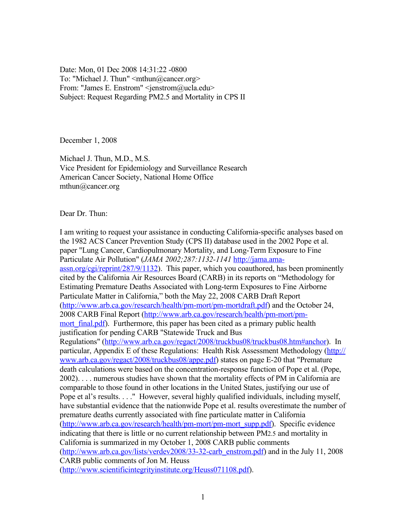Date: Mon, 01 Dec 2008 14:31:22 -0800 To: "Michael J. Thun" <mthun@cancer.org> From: "James E. Enstrom" <jenstrom@ucla.edu> Subject: Request Regarding PM2.5 and Mortality in CPS II

December 1, 2008

Michael J. Thun, M.D., M.S. Vice President for Epidemiology and Surveillance Research American Cancer Society, National Home Office mthun@cancer.org

Dear Dr. Thun:

I am writing to request your assistance in conducting California-specific analyses based on the 1982 ACS Cancer Prevention Study (CPS II) database used in the 2002 Pope et al. paper "Lung Cancer, Cardiopulmonary Mortality, and Long-Term Exposure to Fine Particulate Air Pollution" (*JAMA 2002;287:1132-1141* [http://jama.ama](http://jama.ama-assn.org/cgi/reprint/287/9/1132)[assn.org/cgi/reprint/287/9/1132\)](http://jama.ama-assn.org/cgi/reprint/287/9/1132). This paper, which you coauthored, has been prominently cited by the California Air Resources Board (CARB) in its reports on "Methodology for Estimating Premature Deaths Associated with Long-term Exposures to Fine Airborne Particulate Matter in California," both the May 22, 2008 CARB Draft Report [\(http://www.arb.ca.gov/research/health/pm-mort/pm-mortdraft.pdf\)](http://www.arb.ca.gov/research/health/pm-mort/pm-mortdraft.pdf) and the October 24, 2008 CARB Final Report [\(http://www.arb.ca.gov/research/health/pm-mort/pm](http://www.arb.ca.gov/research/health/pm-mort/pm-mort_final.pdf)mort final.pdf). Furthermore, this paper has been cited as a primary public health justification for pending CARB "Statewide Truck and Bus Regulations" [\(http://www.arb.ca.gov/regact/2008/truckbus08/truckbus08.htm#anchor\)](http://www.arb.ca.gov/regact/2008/truckbus08/truckbus08.htm#anchor). In particular, Appendix E of these Regulations: Health Risk Assessment Methodology [\(http://](http://www.arb.ca.gov/regact/2008/truckbus08/appe.pdf) [www.arb.ca.gov/regact/2008/truckbus08/appe.pdf\)](http://www.arb.ca.gov/regact/2008/truckbus08/appe.pdf) states on page E-20 that "Premature" death calculations were based on the concentration-response function of Pope et al. (Pope, 2002). . . . numerous studies have shown that the mortality effects of PM in California are comparable to those found in other locations in the United States, justifying our use of Pope et al's results. . . ." However, several highly qualified individuals, including myself, have substantial evidence that the nationwide Pope et al. results overestimate the number of premature deaths currently associated with fine particulate matter in California [\(http://www.arb.ca.gov/research/health/pm-mort/pm-mort\\_supp.pdf\)](http://www.arb.ca.gov/research/health/pm-mort/pm-mort_supp.pdf). Specific evidence indicating that there is little or no current relationship between PM2.5 and mortality in California is summarized in my October 1, 2008 CARB public comments (http://www.arb.ca.gov/lists/verdey2008/33-32-carb\_enstrom.pdf) and in the July 11, 2008 CARB public comments of Jon M. Heuss [\(http://www.scientificintegrityinstitute.org/Heuss071108.pdf\)](http://www.scientificintegrityinstitute.org/Heuss071108.pdf).